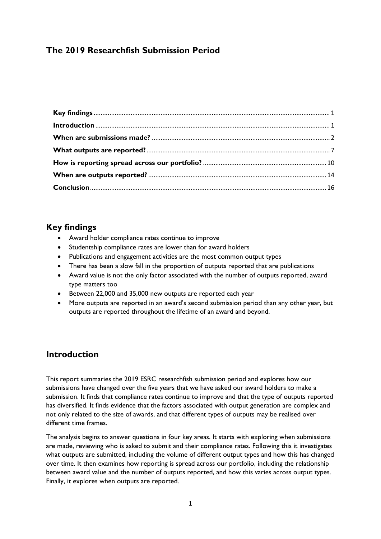## **The 2019 Researchfish Submission Period**

## <span id="page-0-0"></span>**Key findings**

- Award holder compliance rates continue to improve
- Studentship compliance rates are lower than for award holders
- Publications and engagement activities are the most common output types
- There has been a slow fall in the proportion of outputs reported that are publications
- Award value is not the only factor associated with the number of outputs reported, award type matters too
- Between 22,000 and 35,000 new outputs are reported each year
- More outputs are reported in an award's second submission period than any other year, but outputs are reported throughout the lifetime of an award and beyond.

## <span id="page-0-1"></span>**Introduction**

This report summaries the 2019 ESRC researchfish submission period and explores how our submissions have changed over the five years that we have asked our award holders to make a submission. It finds that compliance rates continue to improve and that the type of outputs reported has diversified. It finds evidence that the factors associated with output generation are complex and not only related to the size of awards, and that different types of outputs may be realised over different time frames.

The analysis begins to answer questions in four key areas. It starts with exploring when submissions are made, reviewing who is asked to submit and their compliance rates. Following this it investigates what outputs are submitted, including the volume of different output types and how this has changed over time. It then examines how reporting is spread across our portfolio, including the relationship between award value and the number of outputs reported, and how this varies across output types. Finally, it explores when outputs are reported.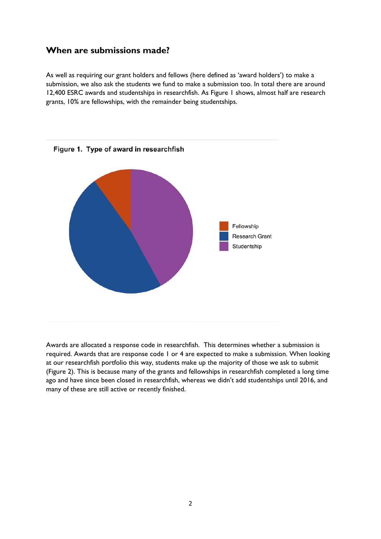## <span id="page-1-0"></span>**When are submissions made?**

As well as requiring our grant holders and fellows (here defined as 'award holders') to make a submission, we also ask the students we fund to make a submission too. In total there are around 12,400 ESRC awards and studentships in researchfish. As Figure 1 shows, almost half are research grants, 10% are fellowships, with the remainder being studentships.



Awards are allocated a response code in researchfish. This determines whether a submission is required. Awards that are response code 1 or 4 are expected to make a submission. When looking at our researchfish portfolio this way, students make up the majority of those we ask to submit (Figure 2). This is because many of the grants and fellowships in researchfish completed a long time ago and have since been closed in researchfish, whereas we didn't add studentships until 2016, and many of these are still active or recently finished.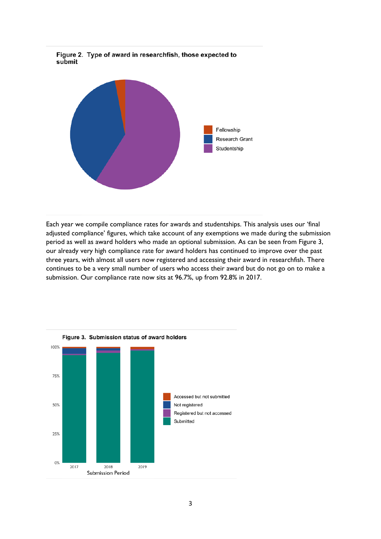

Each year we compile compliance rates for awards and studentships. This analysis uses our 'final adjusted compliance' figures, which take account of any exemptions we made during the submission period as well as award holders who made an optional submission. As can be seen from Figure 3, our already very high compliance rate for award holders has continued to improve over the past three years, with almost all users now registered and accessing their award in researchfish. There continues to be a very small number of users who access their award but do not go on to make a submission. Our compliance rate now sits at 96.7%, up from 92.8% in 2017.



Figure 2. Type of award in researchfish, those expected to submit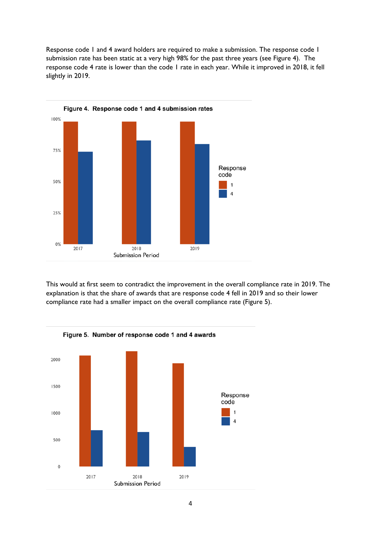Response code 1 and 4 award holders are required to make a submission. The response code 1 submission rate has been static at a very high 98% for the past three years (see Figure 4). The response code 4 rate is lower than the code 1 rate in each year. While it improved in 2018, it fell slightly in 2019.



This would at first seem to contradict the improvement in the overall compliance rate in 2019. The explanation is that the share of awards that are response code 4 fell in 2019 and so their lower compliance rate had a smaller impact on the overall compliance rate (Figure 5).

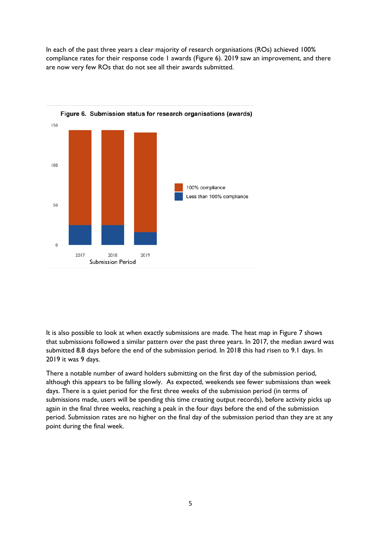In each of the past three years a clear majority of research organisations (ROs) achieved 100% compliance rates for their response code 1 awards (Figure 6). 2019 saw an improvement, and there are now very few ROs that do not see all their awards submitted.



It is also possible to look at when exactly submissions are made. The heat map in Figure 7 shows that submissions followed a similar pattern over the past three years. In 2017, the median award was submitted 8.8 days before the end of the submission period. In 2018 this had risen to 9.1 days. In 2019 it was 9 days.

There a notable number of award holders submitting on the first day of the submission period, although this appears to be falling slowly. As expected, weekends see fewer submissions than week days. There is a quiet period for the first three weeks of the submission period (in terms of submissions made, users will be spending this time creating output records), before activity picks up again in the final three weeks, reaching a peak in the four days before the end of the submission period. Submission rates are no higher on the final day of the submission period than they are at any point during the final week.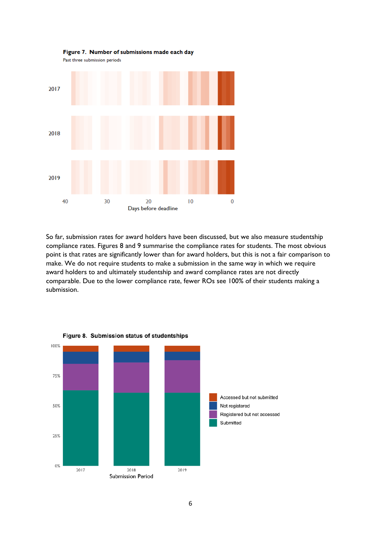

Figure 7. Number of submissions made each day

So far, submission rates for award holders have been discussed, but we also measure studentship compliance rates. Figures 8 and 9 summarise the compliance rates for students. The most obvious point is that rates are significantly lower than for award holders, but this is not a fair comparison to make. We do not require students to make a submission in the same way in which we require award holders to and ultimately studentship and award compliance rates are not directly comparable. Due to the lower compliance rate, fewer ROs see 100% of their students making a submission.



6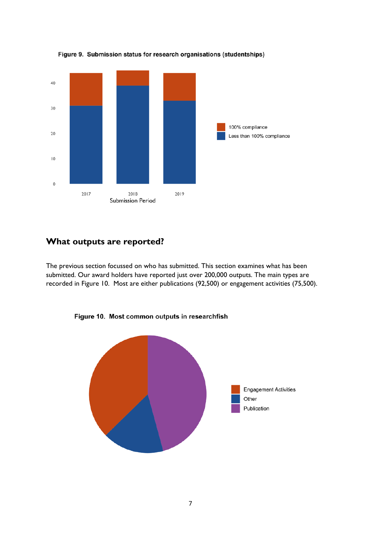

Figure 9. Submission status for research organisations (studentships)

## <span id="page-6-0"></span>**What outputs are reported?**

The previous section focussed on who has submitted. This section examines what has been submitted. Our award holders have reported just over 200,000 outputs. The main types are recorded in Figure 10. Most are either publications (92,500) or engagement activities (75,500).



Figure 10. Most common outputs in researchfish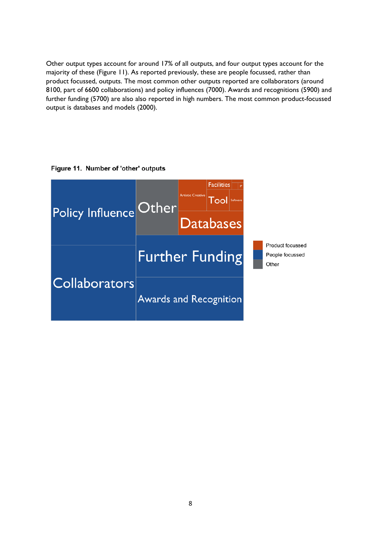Other output types account for around 17% of all outputs, and four output types account for the majority of these (Figure 11). As reported previously, these are people focussed, rather than product focussed, outputs. The most common other outputs reported are collaborators (around 8100, part of 6600 collaborations) and policy influences (7000). Awards and recognitions (5900) and further funding (5700) are also also reported in high numbers. The most common product-focussed output is databases and models (2000).

#### Figure 11. Number of 'other' outputs

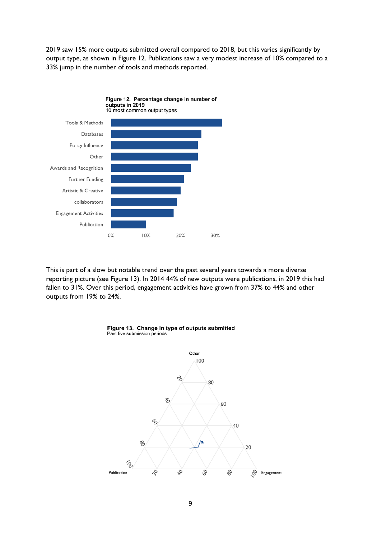2019 saw 15% more outputs submitted overall compared to 2018, but this varies significantly by output type, as shown in Figure 12. Publications saw a very modest increase of 10% compared to a 33% jump in the number of tools and methods reported.



This is part of a slow but notable trend over the past several years towards a more diverse reporting picture (see Figure 13). In 2014 44% of new outputs were publications, in 2019 this had fallen to 31%. Over this period, engagement activities have grown from 37% to 44% and other outputs from 19% to 24%.



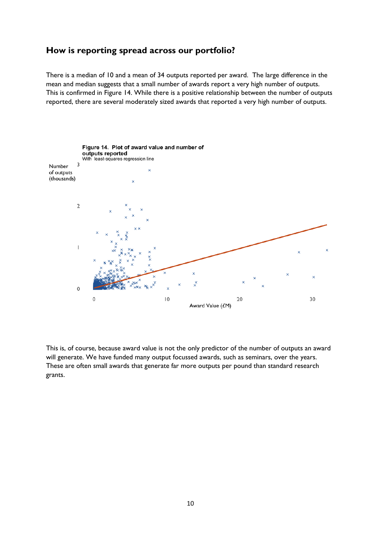#### <span id="page-9-0"></span>**How is reporting spread across our portfolio?**

There is a median of 10 and a mean of 34 outputs reported per award. The large difference in the mean and median suggests that a small number of awards report a very high number of outputs. This is confirmed in Figure 14. While there is a positive relationship between the number of outputs reported, there are several moderately sized awards that reported a very high number of outputs.



This is, of course, because award value is not the only predictor of the number of outputs an award will generate. We have funded many output focussed awards, such as seminars, over the years. These are often small awards that generate far more outputs per pound than standard research grants.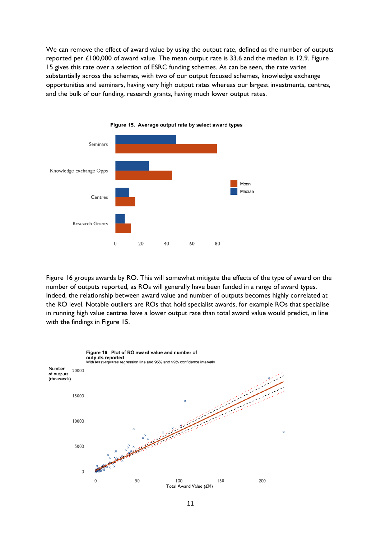We can remove the effect of award value by using the output rate, defined as the number of outputs reported per £100,000 of award value. The mean output rate is 33.6 and the median is 12.9. Figure 15 gives this rate over a selection of ESRC funding schemes. As can be seen, the rate varies substantially across the schemes, with two of our output focused schemes, knowledge exchange opportunities and seminars, having very high output rates whereas our largest investments, centres, and the bulk of our funding, research grants, having much lower output rates.





Figure 16 groups awards by RO. This will somewhat mitigate the effects of the type of award on the number of outputs reported, as ROs will generally have been funded in a range of award types. Indeed, the relationship between award value and number of outputs becomes highly correlated at the RO level. Notable outliers are ROs that hold specialist awards, for example ROs that specialise in running high value centres have a lower output rate than total award value would predict, in line with the findings in Figure 15.

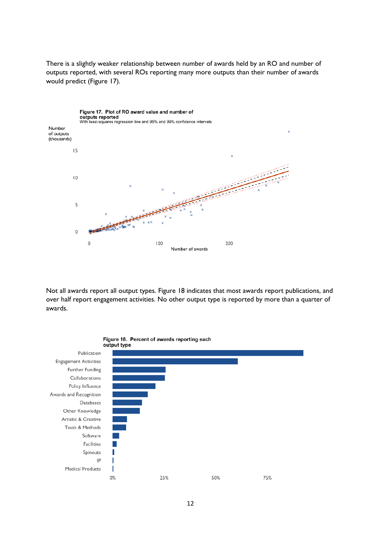There is a slightly weaker relationship between number of awards held by an RO and number of outputs reported, with several ROs reporting many more outputs than their number of awards would predict (Figure 17).



Not all awards report all output types. Figure 18 indicates that most awards report publications, and over half report engagement activities. No other output type is reported by more than a quarter of awards.

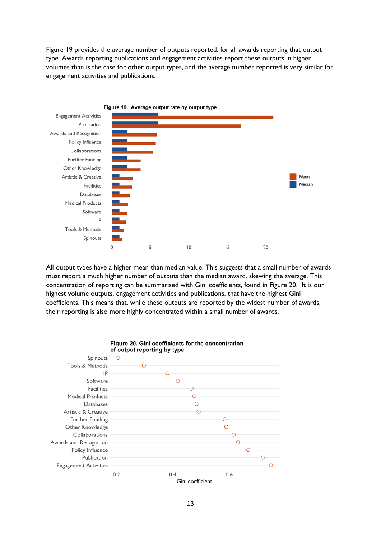Figure 19 provides the average number of outputs reported, for all awards reporting that output type. Awards reporting publications and engagement activities report these outputs in higher volumes than is the case for other output types, and the average number reported is very similar for engagement activities and publications.



All output types have a higher mean than median value. This suggests that a small number of awards must report a much higher number of outputs than the median award, skewing the average. This concentration of reporting can be summarised with Gini coefficients, found in Figure 20. It is our highest volume outputs, engagement activities and publications, that have the highest Gini coefficients. This means that, while these outputs are reported by the widest number of awards, their reporting is also more highly concentrated within a small number of awards.



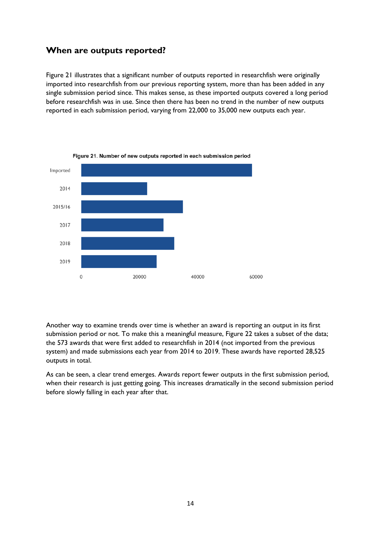## <span id="page-13-0"></span>**When are outputs reported?**

Figure 21 illustrates that a significant number of outputs reported in researchfish were originally imported into researchfish from our previous reporting system, more than has been added in any single submission period since. This makes sense, as these imported outputs covered a long period before researchfish was in use. Since then there has been no trend in the number of new outputs reported in each submission period, varying from 22,000 to 35,000 new outputs each year.



Another way to examine trends over time is whether an award is reporting an output in its first submission period or not. To make this a meaningful measure, Figure 22 takes a subset of the data; the 573 awards that were first added to researchfish in 2014 (not imported from the previous system) and made submissions each year from 2014 to 2019. These awards have reported 28,525 outputs in total.

As can be seen, a clear trend emerges. Awards report fewer outputs in the first submission period, when their research is just getting going. This increases dramatically in the second submission period before slowly falling in each year after that.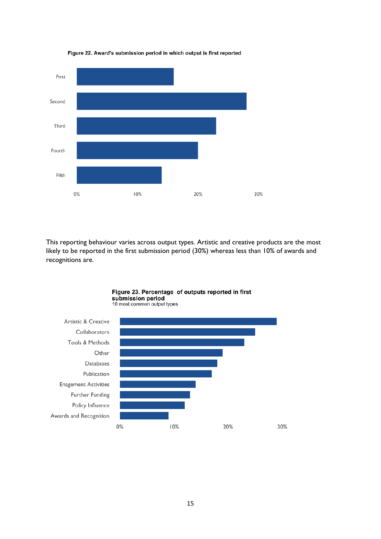

Figure 22. Award's submission period in which output is first reported

This reporting behaviour varies across output types. Artistic and creative products are the most likely to be reported in the first submission period (30%) whereas less than 10% of awards and recognitions are.



15